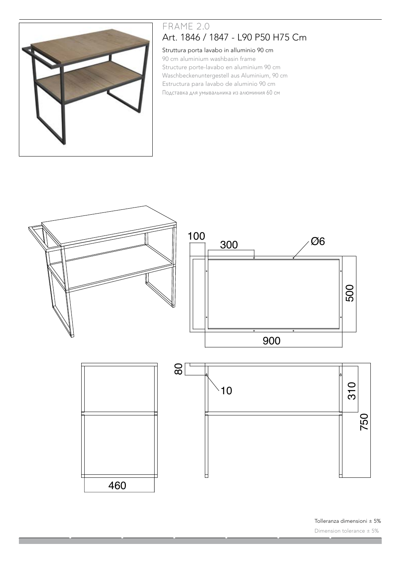

# FRAME 2.0 Art. 1846 / 1847 - L90 P50 H75 Cm

#### Struttura porta lavabo in alluminio 90 cm

90 cm aluminium washbasin frame Structure porte-lavabo en aluminium 90 cm Waschbeckenuntergestell aus Aluminium, 90 cm Estructura para lavabo de aluminio 90 cm Подставка для умывальника из алюминия 60 см



Tolleranza dimensioni ± 5% Dimension tolerance ± 5%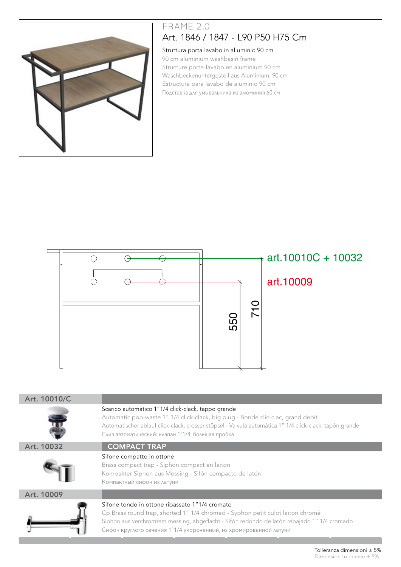

## FRAME 2.0 Art. 1846 / 1847 - L90 P50 H75 Cm

#### Struttura porta lavabo in alluminio 90 cm

90 cm aluminium washbasin frame Structure porte-lavabo en aluminium 90 cm Waschbeckenuntergestell aus Aluminium, 90 cm Estructura para lavabo de aluminio 90 cm Подставка для умывальника из алюминия 60 см



| Art. 10010/C |                                                                                                                                                                                                                                                                                                       |
|--------------|-------------------------------------------------------------------------------------------------------------------------------------------------------------------------------------------------------------------------------------------------------------------------------------------------------|
|              | Scarico automatico 1"1/4 click-clack, tappo grande<br>Automatic pop-waste 1" 1/4 click-clack, big plug - Bonde clic-clac, grand debit<br>Automatischer ablauf click-clack, crosser stöpsel - Valvula automática 1" 1/4 click-clack, tapón grande<br>Слив автоматический: клапан 1"1/4, большая пробка |
| Art. 10032   | <b>COMPACT TRAP</b>                                                                                                                                                                                                                                                                                   |
|              | Sifone compatto in ottone<br>Brass compact trap - Siphon compact en laiton<br>Kompakter Siphon aus Messing - Sifón compacto de latón<br>Компактный сифон из латуни                                                                                                                                    |
| Art. 10009   |                                                                                                                                                                                                                                                                                                       |
|              | Sifone tondo in ottone ribassato 1"1/4 cromato<br>Cp Brass round trap, shorted 1" 1/4 chromed - Syphon petit culot laiton chromé<br>Siphon aus verchromtem messing, abgeflacht - Sifón redondo de latón rebajado 1" 1/4 cromado<br>Сифон круглого сечения 1"1/4 укороченный, из хромированной латуни  |